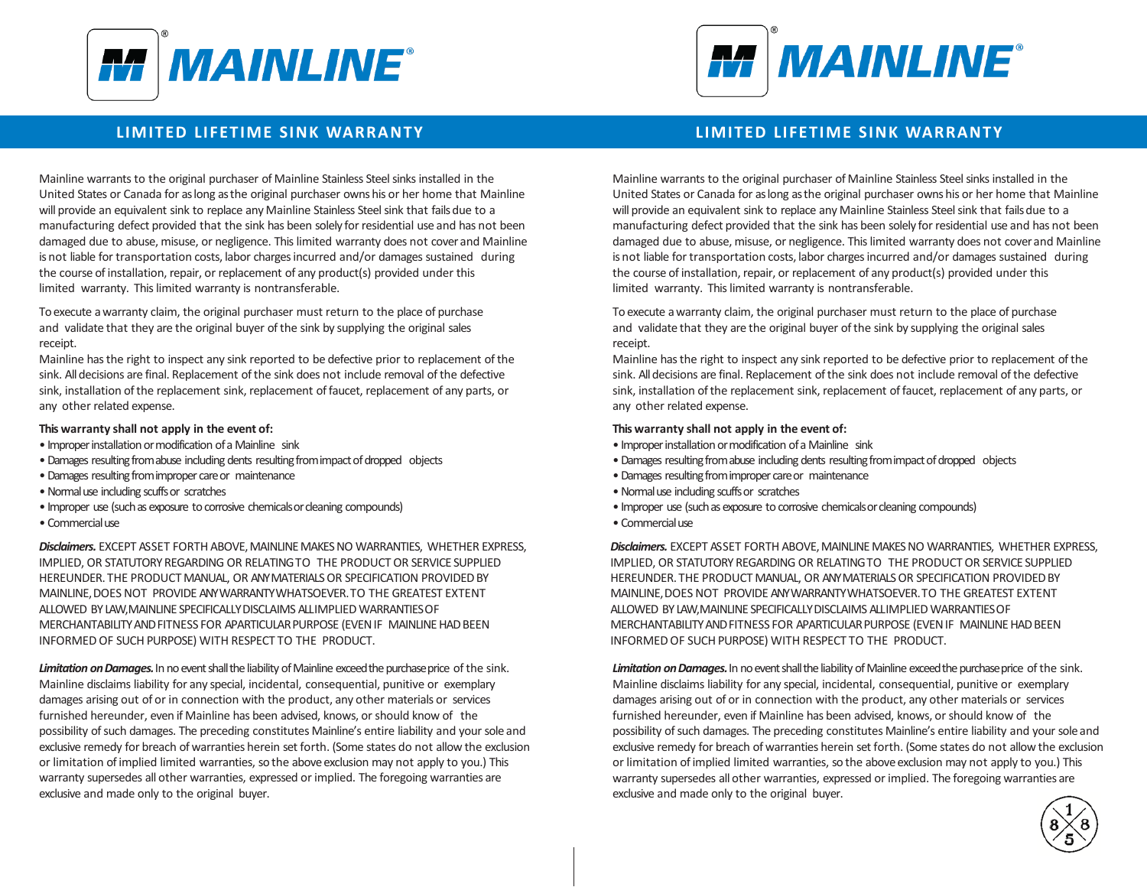



# **LIMITED LIFETIME SINK WARRANTY**

Mainline warrants to the original purchaser of Mainline Stainless Steel sinks installed in the United States or Canada for as long as the original purchaser owns his or her home that Mainline will provide an equivalent sink to replace any Mainline Stainless Steel sink that fails due to a manufacturing defect provided that the sink has been solely for residential use and has not been damaged due to abuse, misuse, or negligence. This limited warranty does not cover and Mainline is not liable for transportation costs, labor charges incurred and/or damages sustained during the course of installation, repair, or replacement of any product(s) provided under this limited warranty. This limited warranty is nontransferable.

To execute a warranty claim, the original purchaser must return to the place of purchase and validate that they are the original buyer of the sink by supplying the original sales receipt.

Mainline has the right to inspect any sink reported to be defective prior to replacement of the sink. All decisions are final. Replacement of the sink does not include removal of the defective sink, installation of the replacement sink, replacement of faucet, replacement of any parts, or any other related expense.

#### **This warranty shall not apply in the event of:**

- Improper installation or modification of a Mainline sink
- •Damages resulting from abuse including dents resulting from impact of dropped objects
- •Damages resulting from improper care or maintenance
- •Normal use including scuffs or scratches
- Improper use (such as exposure to corrosive chemicals or cleaning compounds)
- Commercialuse

*Disclaimers.* EXCEPT AS SET FORTH ABOVE, MAINLINE MAKES NO WARRANTIES, WHETHER EXPRESS, IMPLIED, OR STATUTORY REGARDING OR RELATING TO THE PRODUCT OR SERVICE SUPPLIED HEREUNDER. THE PRODUCT MANUAL, OR ANY MATERIALS OR SPECIFICATION PROVIDED BY MAINLINE, DOES NOT PROVIDE ANY WARRANTY WHATSOEVER. TO THE GREATEST EXTENT ALLOWED BY LAW, MAINLINE SPECIFICALLY DISCLAIMS ALL IMPLIED WARRANTIES OF MERCHANTABILITY AND FITNESS FOR APARTICULAR PURPOSE (EVEN IF MAINLINE HAD BEEN INFORMED OF SUCH PURPOSE) WITH RESPECT TO THE PRODUCT.

Limitation on Damages. In no event shall the liability of Mainline exceed the purchase price of the sink. Mainline disclaims liability for any special, incidental, consequential, punitive or exemplary damages arising out of or in connection with the product, any other materials or services furnished hereunder, even if Mainline has been advised, knows, or should know of the possibility of such damages. The preceding constitutes Mainline's entire liability and your sole and exclusive remedy for breach of warranties herein set forth. (Some states do not allow the exclusion or limitation of implied limited warranties, so the above exclusion may not apply to you.) This warranty supersedes all other warranties, expressed or implied. The foregoing warranties are exclusive and made only to the original buyer.

## **LIMITED LIFETIME SINK WARRANTY**

Mainline warrants to the original purchaser of Mainline Stainless Steel sinks installed in the United States or Canada for as long as the original purchaser owns his or her home that Mainline will provide an equivalent sink to replace any Mainline Stainless Steel sink that fails due to a manufacturing defect provided that the sink has been solely for residential use and has not been damaged due to abuse, misuse, or negligence. This limited warranty does not cover and Mainline is not liable for transportation costs, labor charges incurred and/or damages sustained during the course of installation, repair, or replacement of any product(s) provided under this limited warranty. This limited warranty is nontransferable.

To execute a warranty claim, the original purchaser must return to the place of purchase and validate that they are the original buyer of the sink by supplying the original sales receipt.

Mainline has the right to inspect any sink reported to be defective prior to replacement of the sink. All decisions are final. Replacement of the sink does not include removal of the defective sink, installation of the replacement sink, replacement of faucet, replacement of any parts, or any other related expense.

#### **This warranty shall not apply in the event of:**

- Improper installation or modification of a Mainline sink
- •Damages resulting from abuse including dents resulting from impact of dropped objects
- •Damages resulting from improper care or maintenance
- •Normal use including scuffs or scratches
- Improper use (such as exposure to corrosive chemicals or cleaning compounds)
- Commercialuse

*Disclaimers.* EXCEPT AS SET FORTH ABOVE, MAINLINE MAKES NO WARRANTIES, WHETHER EXPRESS, IMPLIED, OR STATUTORY REGARDING OR RELATING TO THE PRODUCT OR SERVICE SUPPLIED HEREUNDER. THE PRODUCT MANUAL, OR ANY MATERIALS OR SPECIFICATION PROVIDED BY MAINLINE, DOES NOT PROVIDE ANY WARRANTY WHATSOEVER. TO THE GREATEST EXTENT ALLOWED BY LAW, MAINLINE SPECIFICALLY DISCLAIMS ALL IMPLIED WARRANTIES OF MERCHANTABILITY AND FITNESS FOR A PARTICULAR PURPOSE (EVEN IF MAINLINE HAD BEEN INFORMED OF SUCH PURPOSE) WITH RESPECT TO THE PRODUCT.

Limitation on Damages. In no event shall the liability of Mainline exceed the purchase price of the sink. Mainline disclaims liability for any special, incidental, consequential, punitive or exemplary damages arising out of or in connection with the product, any other materials or services furnished hereunder, even if Mainline has been advised, knows, or should know of the possibility of such damages. The preceding constitutes Mainline's entire liability and your sole and exclusive remedy for breach of warranties herein set forth. (Some states do not allow the exclusion or limitation of implied limited warranties, so the above exclusion may not apply to you.) This warranty supersedes all other warranties, expressed or implied. The foregoing warranties are exclusive and made only to the original buyer.